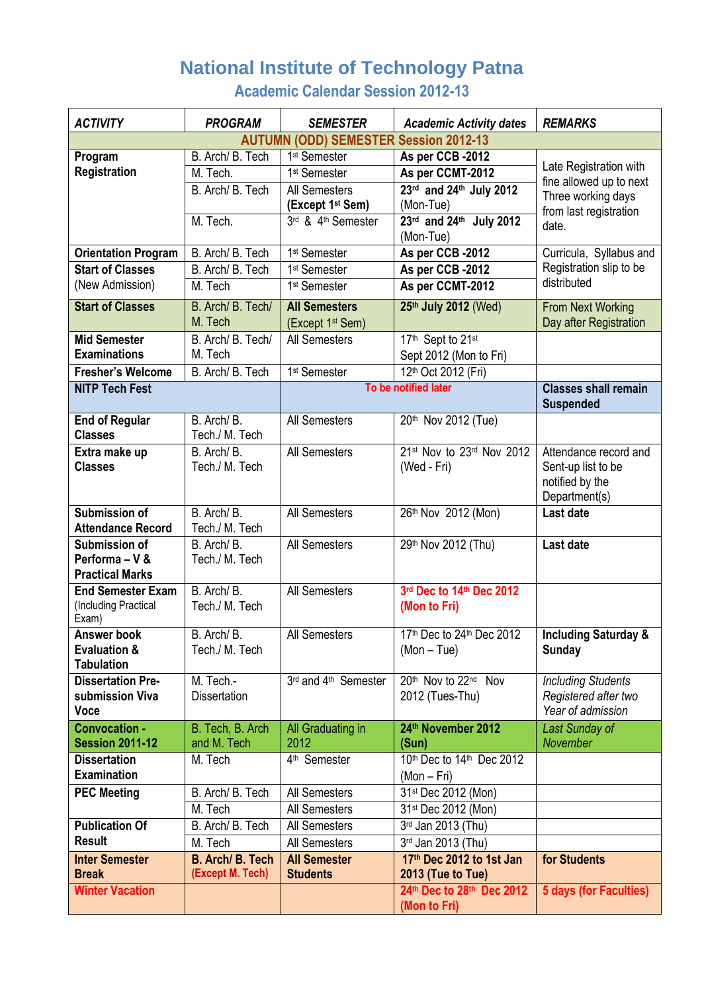## **National Institute of Technology Patna**

**Academic Calendar Session 2012-13**

| <b>ACTIVITY</b>                           | <b>PROGRAM</b>                       | <b>SEMESTER</b>                                      | <b>Academic Activity dates</b>                | <b>REMARKS</b>                                    |
|-------------------------------------------|--------------------------------------|------------------------------------------------------|-----------------------------------------------|---------------------------------------------------|
|                                           |                                      | <b>AUTUMN (ODD) SEMESTER Session 2012-13</b>         |                                               |                                                   |
| Program                                   | B. Arch/ B. Tech                     | 1 <sup>st</sup> Semester                             | As per CCB -2012                              |                                                   |
| Registration                              | M. Tech.                             | 1 <sup>st</sup> Semester                             | As per CCMT-2012                              | Late Registration with<br>fine allowed up to next |
|                                           | B. Arch/ B. Tech                     | All Semesters                                        | 23rd and 24th July 2012                       | Three working days                                |
|                                           |                                      | (Except 1 <sup>st</sup> Sem)                         | (Mon-Tue)                                     | from last registration                            |
|                                           | M. Tech.                             | 3rd & 4th Semester                                   | $23rd$ and $24th$ July 2012<br>(Mon-Tue)      | date.                                             |
| <b>Orientation Program</b>                | B. Arch/ B. Tech                     | 1 <sup>st</sup> Semester                             | As per CCB -2012                              | Curricula, Syllabus and                           |
| <b>Start of Classes</b>                   | B. Arch/ B. Tech                     | 1 <sup>st</sup> Semester                             | As per CCB -2012                              | Registration slip to be                           |
| (New Admission)                           | M. Tech                              | 1 <sup>st</sup> Semester                             | As per CCMT-2012                              | distributed                                       |
| <b>Start of Classes</b>                   | B. Arch/ B. Tech/<br>M. Tech         | <b>All Semesters</b><br>(Except 1 <sup>st</sup> Sem) | 25th July 2012 (Wed)                          | From Next Working<br>Day after Registration       |
| <b>Mid Semester</b>                       | B. Arch/ B. Tech/                    | All Semesters                                        | 17th Sept to 21st                             |                                                   |
| <b>Examinations</b>                       | M. Tech                              |                                                      | Sept 2012 (Mon to Fri)                        |                                                   |
| <b>Fresher's Welcome</b>                  | B. Arch/ B. Tech                     | 1 <sup>st</sup> Semester                             | 12th Oct 2012 (Fri)                           |                                                   |
| <b>NITP Tech Fest</b>                     |                                      | To be notified later                                 |                                               | <b>Classes shall remain</b><br><b>Suspended</b>   |
| <b>End of Regular</b>                     | B. Arch/B.                           | All Semesters                                        | 20th Nov 2012 (Tue)                           |                                                   |
| <b>Classes</b>                            | Tech./ M. Tech                       |                                                      |                                               |                                                   |
| Extra make up                             | B. Arch/B.                           | All Semesters                                        | 21st Nov to 23rd Nov 2012                     | Attendance record and                             |
| <b>Classes</b>                            | Tech./ M. Tech                       |                                                      | (Wed - Fri)                                   | Sent-up list to be                                |
|                                           |                                      |                                                      |                                               | notified by the                                   |
|                                           | B. Arch/B.                           |                                                      |                                               | Department(s)                                     |
| Submission of<br><b>Attendance Record</b> | Tech./ M. Tech                       | All Semesters                                        | 26th Nov 2012 (Mon)                           | Last date                                         |
| Submission of                             | B. Arch/B.                           | All Semesters                                        | 29th Nov 2012 (Thu)                           | Last date                                         |
| Performa - V &                            | Tech./ M. Tech                       |                                                      |                                               |                                                   |
| <b>Practical Marks</b>                    |                                      |                                                      |                                               |                                                   |
| <b>End Semester Exam</b>                  | B. Arch/B.                           | All Semesters                                        | 3rd Dec to 14th Dec 2012                      |                                                   |
| (Including Practical                      | Tech./ M. Tech                       |                                                      | (Mon to Fri)                                  |                                                   |
| Exam)<br><b>Answer book</b>               | B. Arch/B.                           | All Semesters                                        | 17th Dec to 24th Dec 2012                     | <b>Including Saturday &amp;</b>                   |
| <b>Evaluation &amp;</b>                   | Tech./ M. Tech                       |                                                      | $(Mon - Tue)$                                 | <b>Sunday</b>                                     |
| <b>Tabulation</b>                         |                                      |                                                      |                                               |                                                   |
| <b>Dissertation Pre-</b>                  | M. Tech.-                            | 3rd and 4 <sup>th</sup> Semester                     | 20th Nov to 22nd Nov                          | <b>Including Students</b>                         |
| submission Viva                           | <b>Dissertation</b>                  |                                                      | 2012 (Tues-Thu)                               | Registered after two                              |
| <b>Voce</b>                               |                                      |                                                      |                                               | Year of admission                                 |
| <b>Convocation -</b>                      | B. Tech, B. Arch                     | All Graduating in                                    | 24th November 2012                            | Last Sunday of                                    |
| <b>Session 2011-12</b>                    | and M. Tech                          | 2012                                                 | (Sun)                                         | November                                          |
| <b>Dissertation</b>                       | M. Tech                              | 4 <sup>th</sup> Semester                             | 10th Dec to 14th Dec 2012                     |                                                   |
| <b>Examination</b>                        |                                      |                                                      | $(Mon-Fri)$                                   |                                                   |
| <b>PEC Meeting</b>                        | B. Arch/ B. Tech                     | All Semesters                                        | 31st Dec 2012 (Mon)                           |                                                   |
|                                           | M. Tech                              | All Semesters                                        | 31st Dec 2012 (Mon)                           |                                                   |
| <b>Publication Of</b><br><b>Result</b>    | B. Arch/ B. Tech                     | All Semesters                                        | 3rd Jan 2013 (Thu)                            |                                                   |
|                                           | M. Tech                              | All Semesters                                        | 3rd Jan 2013 (Thu)                            |                                                   |
| <b>Inter Semester</b><br><b>Break</b>     | B. Arch/ B. Tech<br>(Except M. Tech) | <b>All Semester</b><br><b>Students</b>               | 17th Dec 2012 to 1st Jan<br>2013 (Tue to Tue) | for Students                                      |
| <b>Winter Vacation</b>                    |                                      |                                                      | 24th Dec to 28th Dec 2012<br>(Mon to Fri)     | <b>5 days (for Faculties)</b>                     |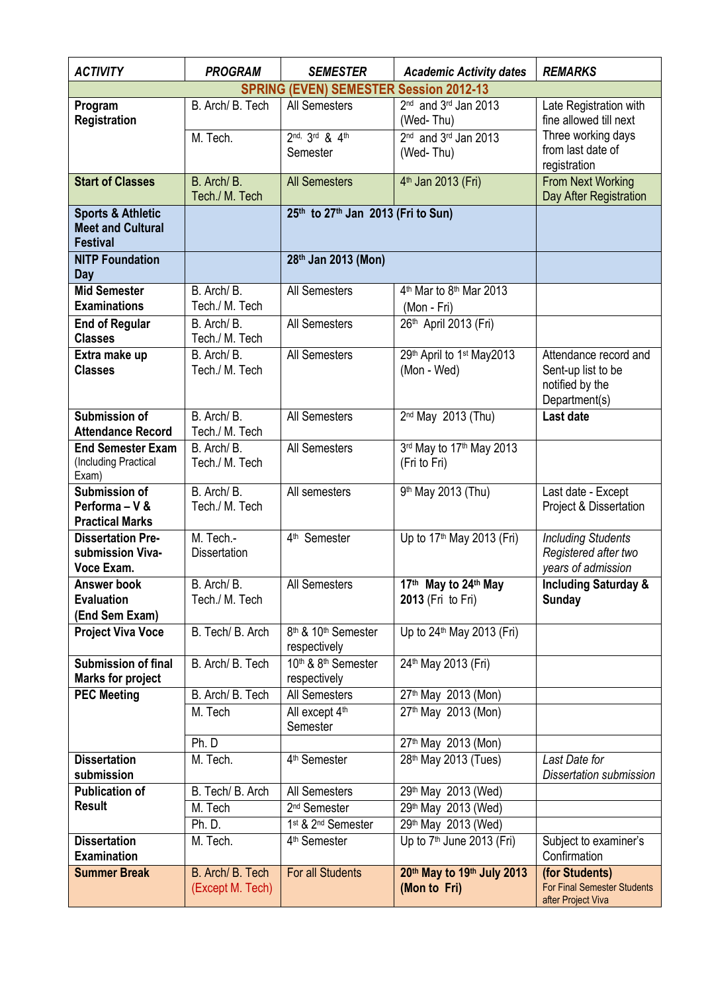| <b>ACTIVITY</b>                                                             | <b>PROGRAM</b>                       | <b>SEMESTER</b>                                             | <b>Academic Activity dates</b>                                 | <b>REMARKS</b>                                                                  |
|-----------------------------------------------------------------------------|--------------------------------------|-------------------------------------------------------------|----------------------------------------------------------------|---------------------------------------------------------------------------------|
|                                                                             |                                      | <b>SPRING (EVEN) SEMESTER Session 2012-13</b>               |                                                                |                                                                                 |
| Program<br>Registration                                                     | B. Arch/ B. Tech                     | All Semesters                                               | 2 <sup>nd</sup> and 3 <sup>rd</sup> Jan 2013<br>(Wed-Thu)      | Late Registration with<br>fine allowed till next                                |
|                                                                             | M. Tech.                             | 2nd, 3rd & 4th                                              | $2nd$ and $3rd$ Jan 2013                                       | Three working days                                                              |
|                                                                             |                                      | Semester                                                    | (Wed-Thu)                                                      | from last date of                                                               |
|                                                                             |                                      |                                                             |                                                                | registration                                                                    |
| <b>Start of Classes</b>                                                     | B. Arch/B.<br>Tech./ M. Tech         | <b>All Semesters</b>                                        | 4 <sup>th</sup> Jan 2013 (Fri)                                 | From Next Working<br>Day After Registration                                     |
| <b>Sports &amp; Athletic</b><br><b>Meet and Cultural</b><br><b>Festival</b> |                                      | 25th to 27th Jan 2013 (Fri to Sun)                          |                                                                |                                                                                 |
| <b>NITP Foundation</b>                                                      |                                      | 28th Jan 2013 (Mon)                                         |                                                                |                                                                                 |
| Day                                                                         |                                      |                                                             |                                                                |                                                                                 |
| <b>Mid Semester</b><br><b>Examinations</b>                                  | B. Arch/B.<br>Tech./ M. Tech         | All Semesters                                               | 4 <sup>th</sup> Mar to 8 <sup>th</sup> Mar 2013<br>(Mon - Fri) |                                                                                 |
| <b>End of Regular</b><br><b>Classes</b>                                     | B. Arch/B.<br>Tech./ M. Tech         | All Semesters                                               | 26th April 2013 (Fri)                                          |                                                                                 |
| Extra make up<br><b>Classes</b>                                             | B. Arch/B.<br>Tech./ M. Tech         | All Semesters                                               | 29th April to 1st May2013<br>(Mon - Wed)                       | Attendance record and<br>Sent-up list to be<br>notified by the<br>Department(s) |
| <b>Submission of</b><br><b>Attendance Record</b>                            | B. Arch/B.<br>Tech./ M. Tech         | All Semesters                                               | 2 <sup>nd</sup> May 2013 (Thu)                                 | Last date                                                                       |
| <b>End Semester Exam</b><br>(Including Practical<br>Exam)                   | B. Arch/B.<br>Tech./ M. Tech         | All Semesters                                               | 3rd May to 17th May 2013<br>(Fri to Fri)                       |                                                                                 |
| Submission of<br>Performa - V &<br><b>Practical Marks</b>                   | B. Arch/B.<br>Tech./ M. Tech         | All semesters                                               | 9 <sup>th</sup> May 2013 (Thu)                                 | Last date - Except<br>Project & Dissertation                                    |
| <b>Dissertation Pre-</b><br>submission Viva-<br>Voce Exam.                  | M. Tech.-<br><b>Dissertation</b>     | 4 <sup>th</sup> Semester                                    | Up to 17 <sup>th</sup> May 2013 (Fri)                          | <b>Including Students</b><br>Registered after two<br>years of admission         |
| Answer book<br><b>Evaluation</b><br>(End Sem Exam)                          | B. Arch/B.<br>Tech./ M. Tech         | All Semesters                                               | 17th May to 24th May<br>2013 (Fri to Fri)                      | <b>Including Saturday &amp;</b><br><b>Sunday</b>                                |
| <b>Project Viva Voce</b>                                                    | B. Tech/ B. Arch                     | 8 <sup>th</sup> & 10 <sup>th</sup> Semester<br>respectively | Up to 24th May 2013 (Fri)                                      |                                                                                 |
| <b>Submission of final</b><br><b>Marks for project</b>                      | B. Arch/ B. Tech                     | 10 <sup>th</sup> & 8 <sup>th</sup> Semester<br>respectively | 24th May 2013 (Fri)                                            |                                                                                 |
| <b>PEC Meeting</b>                                                          | B. Arch/ B. Tech                     | All Semesters                                               | 27th May 2013 (Mon)                                            |                                                                                 |
|                                                                             | M. Tech                              | All except 4th<br>Semester                                  | 27th May 2013 (Mon)                                            |                                                                                 |
|                                                                             | Ph. D                                |                                                             | 27th May 2013 (Mon)                                            |                                                                                 |
| <b>Dissertation</b>                                                         | M. Tech.                             | 4 <sup>th</sup> Semester                                    | 28 <sup>th</sup> May 2013 (Tues)                               | Last Date for                                                                   |
| submission                                                                  |                                      |                                                             |                                                                | Dissertation submission                                                         |
| <b>Publication of</b>                                                       | B. Tech/ B. Arch                     | All Semesters                                               | 29th May 2013 (Wed)                                            |                                                                                 |
| <b>Result</b>                                                               | M. Tech                              | 2 <sup>nd</sup> Semester                                    | 29th May 2013 (Wed)                                            |                                                                                 |
|                                                                             | Ph. D.                               | 1st & 2 <sup>nd</sup> Semester                              | 29th May 2013 (Wed)                                            |                                                                                 |
| <b>Dissertation</b><br>Examination                                          | M. Tech.                             | 4 <sup>th</sup> Semester                                    | Up to 7 <sup>th</sup> June 2013 (Fri)                          | Subject to examiner's<br>Confirmation                                           |
| <b>Summer Break</b>                                                         | B. Arch/ B. Tech<br>(Except M. Tech) | For all Students                                            | 20th May to 19th July 2013<br>(Mon to Fri)                     | (for Students)<br><b>For Final Semester Students</b><br>after Project Viva      |